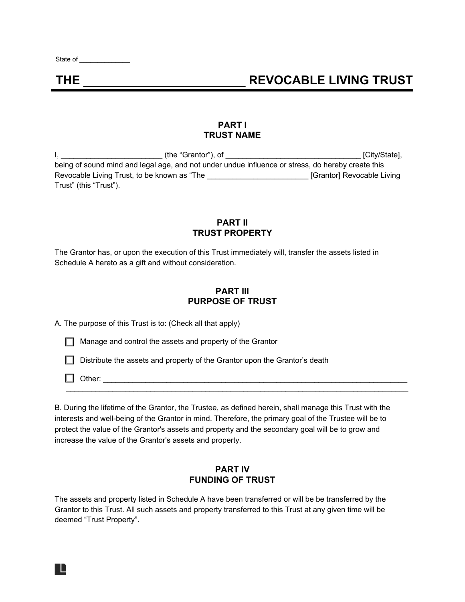State of \_\_\_\_\_\_\_\_\_\_\_\_\_\_

# **THE** \_\_\_\_\_\_\_\_\_\_\_\_\_\_\_\_\_\_\_\_\_\_\_\_ **REVOCABLE LIVING TRUST**

#### **PART I TRUST NAME**

I, \_\_\_\_\_\_\_\_\_\_\_\_\_\_\_\_\_\_\_\_\_\_\_\_ (the "Grantor"), of \_\_\_\_\_\_\_\_\_\_\_\_\_\_\_\_\_\_\_\_\_\_\_\_\_\_\_\_\_\_\_\_ [City/State], being of sound mind and legal age, and not under undue influence or stress, do hereby create this Revocable Living Trust, to be known as "The \_\_\_\_\_\_\_\_\_\_\_\_\_\_\_\_\_\_\_\_\_\_\_\_\_\_\_\_\_\_ [Grantor] Revocable Living Trust" (this "Trust").

#### **PART II TRUST PROPERTY**

The Grantor has, or upon the execution of this Trust immediately will, transfer the assets listed in Schedule A hereto as a gift and without consideration.

### **PART III PURPOSE OF TRUST**

A. The purpose of this Trust is to: (Check all that apply)

☐ Manage and control the assets and property of the Grantor

□ Distribute the assets and property of the Grantor upon the Grantor's death

☐ Other: \_\_\_\_\_\_\_\_\_\_\_\_\_\_\_\_\_\_\_\_\_\_\_\_\_\_\_\_\_\_\_\_\_\_\_\_\_\_\_\_\_\_\_\_\_\_\_\_\_\_\_\_\_\_\_\_\_\_\_\_\_\_\_\_\_\_\_\_\_\_\_\_

R

B. During the lifetime of the Grantor, the Trustee, as defined herein, shall manage this Trust with the interests and well-being of the Grantor in mind. Therefore, the primary goal of the Trustee will be to protect the value of the Grantor's assets and property and the secondary goal will be to grow and increase the value of the Grantor's assets and property.

\_\_\_\_\_\_\_\_\_\_\_\_\_\_\_\_\_\_\_\_\_\_\_\_\_\_\_\_\_\_\_\_\_\_\_\_\_\_\_\_\_\_\_\_\_\_\_\_\_\_\_\_\_\_\_\_\_\_\_\_\_\_\_\_\_\_\_\_\_\_\_\_\_\_\_\_\_\_\_\_\_

#### **PART IV FUNDING OF TRUST**

The assets and property listed in Schedule A have been transferred or will be be transferred by the Grantor to this Trust. All such assets and property transferred to this Trust at any given time will be deemed "Trust Property".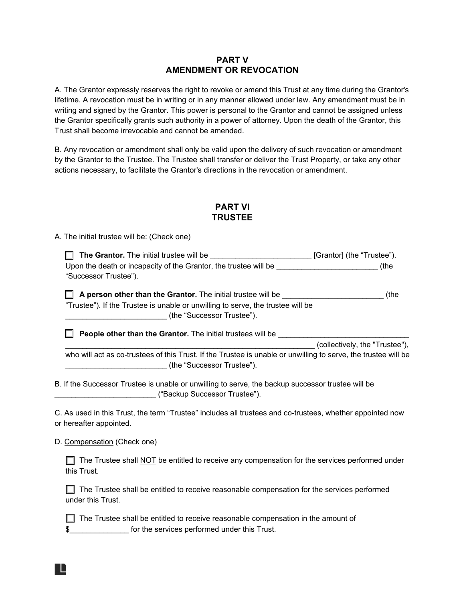#### **PART V AMENDMENT OR REVOCATION**

A. The Grantor expressly reserves the right to revoke or amend this Trust at any time during the Grantor's lifetime. A revocation must be in writing or in any manner allowed under law. Any amendment must be in writing and signed by the Grantor. This power is personal to the Grantor and cannot be assigned unless the Grantor specifically grants such authority in a power of attorney. Upon the death of the Grantor, this Trust shall become irrevocable and cannot be amended.

B. Any revocation or amendment shall only be valid upon the delivery of such revocation or amendment by the Grantor to the Trustee. The Trustee shall transfer or deliver the Trust Property, or take any other actions necessary, to facilitate the Grantor's directions in the revocation or amendment.

### **PART VI TRUSTEE**

A. The initial trustee will be: (Check one)

☐ **The Grantor.** The initial trustee will be \_\_\_\_\_\_\_\_\_\_\_\_\_\_\_\_\_\_\_\_\_\_\_\_ [Grantor] (the "Trustee"). Upon the death or incapacity of the Grantor, the trustee will be \_\_\_\_\_\_\_\_\_\_\_\_\_\_\_\_\_\_\_\_\_\_\_\_\_\_\_\_\_\_\_\_ (the "Successor Trustee").

□ A person other than the Grantor. The initial trustee will be \_\_\_\_\_\_\_\_\_\_\_\_\_\_\_\_\_\_\_\_\_\_\_\_\_\_\_\_(the "Trustee"). If the Trustee is unable or unwilling to serve, the trustee will be \_\_\_\_\_\_\_\_\_\_\_\_\_\_\_\_\_\_\_\_\_\_\_\_\_\_\_\_\_\_\_ (the "Successor Trustee").

☐ **People other than the Grantor.** The initial trustees will be \_\_\_\_\_\_\_\_\_\_\_\_\_\_\_\_\_\_\_\_\_\_\_\_\_\_\_\_\_\_\_

\_\_\_\_\_\_\_\_\_\_\_\_\_\_\_\_\_\_\_\_\_\_\_\_\_\_\_\_\_\_\_\_\_\_\_\_\_\_\_\_\_\_\_\_\_\_\_\_\_\_\_\_\_\_\_\_\_\_\_ (collectively, the "Trustee"),

who will act as co-trustees of this Trust. If the Trustee is unable or unwilling to serve, the trustee will be \_\_\_\_\_\_\_\_\_\_\_\_\_\_\_\_\_\_\_\_\_\_\_\_ (the "Successor Trustee").

B. If the Successor Trustee is unable or unwilling to serve, the backup successor trustee will be \_\_\_\_\_\_\_\_\_\_\_\_\_\_\_\_\_\_\_\_\_\_\_\_ ("Backup Successor Trustee").

C. As used in this Trust, the term "Trustee" includes all trustees and co-trustees, whether appointed now or hereafter appointed.

D. Compensation (Check one)

| The Trustee shall NOT be entitled to receive any compensation for the services performed under |
|------------------------------------------------------------------------------------------------|
| this Trust.                                                                                    |

□ The Trustee shall be entitled to receive reasonable compensation for the services performed under this Trust.

□ The Trustee shall be entitled to receive reasonable compensation in the amount of \$\_\_\_\_\_\_\_\_\_\_\_\_\_\_ for the services performed under this Trust.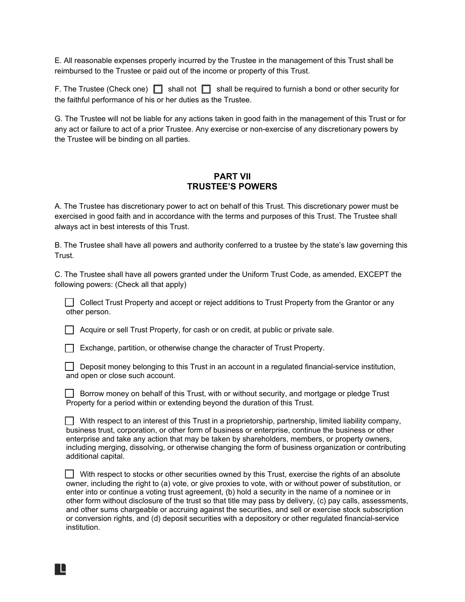E. All reasonable expenses properly incurred by the Trustee in the management of this Trust shall be reimbursed to the Trustee or paid out of the income or property of this Trust.

F. The Trustee (Check one) ☐ shall not ☐ shall be required to furnish a bond or other security for the faithful performance of his or her duties as the Trustee.

G. The Trustee will not be liable for any actions taken in good faith in the management of this Trust or for any act or failure to act of a prior Trustee. Any exercise or non-exercise of any discretionary powers by the Trustee will be binding on all parties.

#### **PART VII TRUSTEE'S POWERS**

A. The Trustee has discretionary power to act on behalf of this Trust. This discretionary power must be exercised in good faith and in accordance with the terms and purposes of this Trust. The Trustee shall always act in best interests of this Trust.

B. The Trustee shall have all powers and authority conferred to a trustee by the state's law governing this Trust.

C. The Trustee shall have all powers granted under the Uniform Trust Code, as amended, EXCEPT the following powers: (Check all that apply)

□ Collect Trust Property and accept or reject additions to Trust Property from the Grantor or any other person.

☐ Acquire or sell Trust Property, for cash or on credit, at public or private sale.

☐ Exchange, partition, or otherwise change the character of Trust Property.

☐ Deposit money belonging to this Trust in an account in a regulated financial-service institution, and open or close such account.

| Borrow money on behalf of this Trust, with or without security, and mortgage or pledge Trust<br><u>J</u> Duil |  |
|---------------------------------------------------------------------------------------------------------------|--|
| Property for a period within or extending beyond the duration of this Trust.                                  |  |

 $\Box$  With respect to an interest of this Trust in a proprietorship, partnership, limited liability company, business trust, corporation, or other form of business or enterprise, continue the business or other enterprise and take any action that may be taken by shareholders, members, or property owners, including merging, dissolving, or otherwise changing the form of business organization or contributing additional capital.

☐ With respect to stocks or other securities owned by this Trust, exercise the rights of an absolute owner, including the right to (a) vote, or give proxies to vote, with or without power of substitution, or enter into or continue a voting trust agreement, (b) hold a security in the name of a nominee or in other form without disclosure of the trust so that title may pass by delivery, (c) pay calls, assessments, and other sums chargeable or accruing against the securities, and sell or exercise stock subscription or conversion rights, and (d) deposit securities with a depository or other regulated financial-service institution.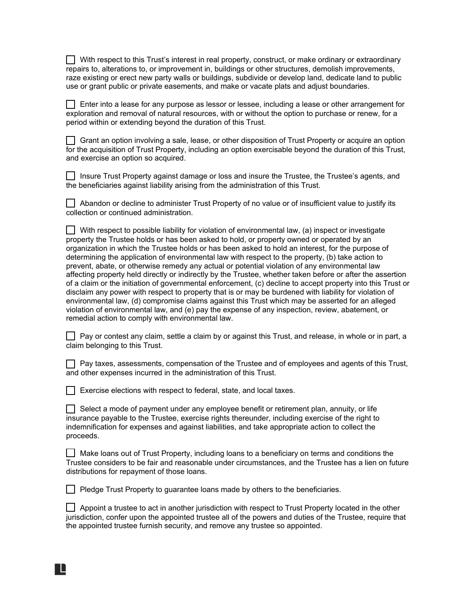☐ With respect to this Trust's interest in real property, construct, or make ordinary or extraordinary repairs to, alterations to, or improvement in, buildings or other structures, demolish improvements, raze existing or erect new party walls or buildings, subdivide or develop land, dedicate land to public use or grant public or private easements, and make or vacate plats and adjust boundaries.

☐ Enter into a lease for any purpose as lessor or lessee, including a lease or other arrangement for exploration and removal of natural resources, with or without the option to purchase or renew, for a period within or extending beyond the duration of this Trust.

☐ Grant an option involving a sale, lease, or other disposition of Trust Property or acquire an option for the acquisition of Trust Property, including an option exercisable beyond the duration of this Trust, and exercise an option so acquired.

☐ Insure Trust Property against damage or loss and insure the Trustee, the Trustee's agents, and the beneficiaries against liability arising from the administration of this Trust.

☐ Abandon or decline to administer Trust Property of no value or of insufficient value to justify its collection or continued administration.

 $\Box$  With respect to possible liability for violation of environmental law, (a) inspect or investigate property the Trustee holds or has been asked to hold, or property owned or operated by an organization in which the Trustee holds or has been asked to hold an interest, for the purpose of determining the application of environmental law with respect to the property, (b) take action to prevent, abate, or otherwise remedy any actual or potential violation of any environmental law affecting property held directly or indirectly by the Trustee, whether taken before or after the assertion of a claim or the initiation of governmental enforcement, (c) decline to accept property into this Trust or disclaim any power with respect to property that is or may be burdened with liability for violation of environmental law, (d) compromise claims against this Trust which may be asserted for an alleged violation of environmental law, and (e) pay the expense of any inspection, review, abatement, or remedial action to comply with environmental law.

| │ │ Pay or contest any claim, settle a claim by or against this Trust, and release, in whole or in part, a |  |  |  |  |
|------------------------------------------------------------------------------------------------------------|--|--|--|--|
| claim belonging to this Trust.                                                                             |  |  |  |  |

☐ Pay taxes, assessments, compensation of the Trustee and of employees and agents of this Trust, and other expenses incurred in the administration of this Trust.

 $\Box$  Exercise elections with respect to federal, state, and local taxes.

▉▊

 $\Box$  Select a mode of payment under any employee benefit or retirement plan, annuity, or life insurance payable to the Trustee, exercise rights thereunder, including exercise of the right to indemnification for expenses and against liabilities, and take appropriate action to collect the proceeds.

☐ Make loans out of Trust Property, including loans to a beneficiary on terms and conditions the Trustee considers to be fair and reasonable under circumstances, and the Trustee has a lien on future distributions for repayment of those loans.

□ Pledge Trust Property to guarantee loans made by others to the beneficiaries.

☐ Appoint a trustee to act in another jurisdiction with respect to Trust Property located in the other jurisdiction, confer upon the appointed trustee all of the powers and duties of the Trustee, require that the appointed trustee furnish security, and remove any trustee so appointed.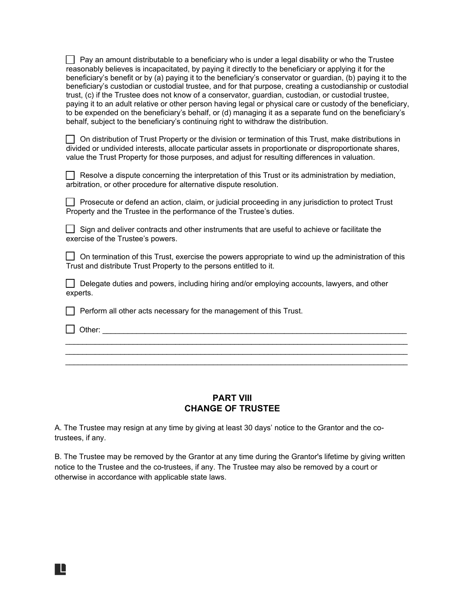$\Box$  Pay an amount distributable to a beneficiary who is under a legal disability or who the Trustee reasonably believes is incapacitated, by paying it directly to the beneficiary or applying it for the beneficiary's benefit or by (a) paying it to the beneficiary's conservator or guardian, (b) paying it to the beneficiary's custodian or custodial trustee, and for that purpose, creating a custodianship or custodial trust, (c) if the Trustee does not know of a conservator, guardian, custodian, or custodial trustee, paying it to an adult relative or other person having legal or physical care or custody of the beneficiary, to be expended on the beneficiary's behalf, or (d) managing it as a separate fund on the beneficiary's behalf, subject to the beneficiary's continuing right to withdraw the distribution.

☐ On distribution of Trust Property or the division or termination of this Trust, make distributions in divided or undivided interests, allocate particular assets in proportionate or disproportionate shares, value the Trust Property for those purposes, and adjust for resulting differences in valuation.

□ Resolve a dispute concerning the interpretation of this Trust or its administration by mediation, arbitration, or other procedure for alternative dispute resolution.

☐ Prosecute or defend an action, claim, or judicial proceeding in any jurisdiction to protect Trust Property and the Trustee in the performance of the Trustee's duties.

☐ Sign and deliver contracts and other instruments that are useful to achieve or facilitate the exercise of the Trustee's powers.

 $\Box$  On termination of this Trust, exercise the powers appropriate to wind up the administration of this Trust and distribute Trust Property to the persons entitled to it.

□ Delegate duties and powers, including hiring and/or employing accounts, lawyers, and other experts.

☐ Perform all other acts necessary for the management of this Trust.

 $\Box$  Other:

R

#### **PART VIII CHANGE OF TRUSTEE**

\_\_\_\_\_\_\_\_\_\_\_\_\_\_\_\_\_\_\_\_\_\_\_\_\_\_\_\_\_\_\_\_\_\_\_\_\_\_\_\_\_\_\_\_\_\_\_\_\_\_\_\_\_\_\_\_\_\_\_\_\_\_\_\_\_\_\_\_\_\_\_\_\_\_\_\_\_\_\_\_\_ \_\_\_\_\_\_\_\_\_\_\_\_\_\_\_\_\_\_\_\_\_\_\_\_\_\_\_\_\_\_\_\_\_\_\_\_\_\_\_\_\_\_\_\_\_\_\_\_\_\_\_\_\_\_\_\_\_\_\_\_\_\_\_\_\_\_\_\_\_\_\_\_\_\_\_\_\_\_\_\_\_ \_\_\_\_\_\_\_\_\_\_\_\_\_\_\_\_\_\_\_\_\_\_\_\_\_\_\_\_\_\_\_\_\_\_\_\_\_\_\_\_\_\_\_\_\_\_\_\_\_\_\_\_\_\_\_\_\_\_\_\_\_\_\_\_\_\_\_\_\_\_\_\_\_\_\_\_\_\_\_\_\_

A. The Trustee may resign at any time by giving at least 30 days' notice to the Grantor and the cotrustees, if any.

B. The Trustee may be removed by the Grantor at any time during the Grantor's lifetime by giving written notice to the Trustee and the co-trustees, if any. The Trustee may also be removed by a court or otherwise in accordance with applicable state laws.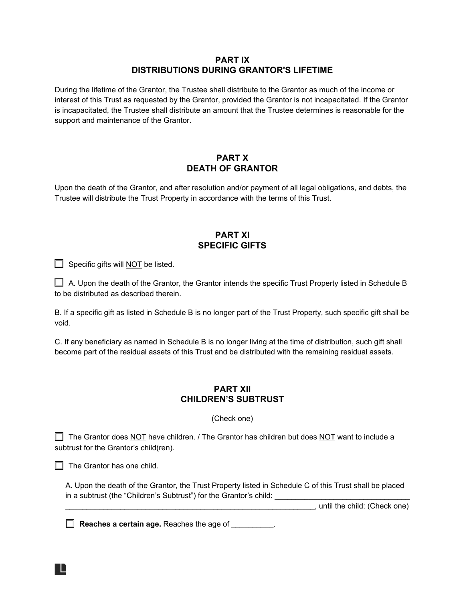#### **PART IX DISTRIBUTIONS DURING GRANTOR'S LIFETIME**

During the lifetime of the Grantor, the Trustee shall distribute to the Grantor as much of the income or interest of this Trust as requested by the Grantor, provided the Grantor is not incapacitated. If the Grantor is incapacitated, the Trustee shall distribute an amount that the Trustee determines is reasonable for the support and maintenance of the Grantor.

#### **PART X DEATH OF GRANTOR**

Upon the death of the Grantor, and after resolution and/or payment of all legal obligations, and debts, the Trustee will distribute the Trust Property in accordance with the terms of this Trust.

#### **PART XI SPECIFIC GIFTS**

 $\Box$  Specific gifts will NOT be listed.

 $\Box$  A. Upon the death of the Grantor, the Grantor intends the specific Trust Property listed in Schedule B to be distributed as described therein.

B. If a specific gift as listed in Schedule B is no longer part of the Trust Property, such specific gift shall be void.

C. If any beneficiary as named in Schedule B is no longer living at the time of distribution, such gift shall become part of the residual assets of this Trust and be distributed with the remaining residual assets.

#### **PART XII CHILDREN'S SUBTRUST**

(Check one)

 $\Box$  The Grantor does NOT have children. / The Grantor has children but does NOT want to include a subtrust for the Grantor's child(ren).

 $\Box$  The Grantor has one child.

A. Upon the death of the Grantor, the Trust Property listed in Schedule C of this Trust shall be placed in a subtrust (the "Children's Subtrust") for the Grantor's child: \_\_\_\_\_\_\_\_\_\_\_\_\_

\_\_\_\_\_\_\_\_\_\_\_\_\_\_\_\_\_\_\_\_\_\_\_\_\_\_\_\_\_\_\_\_\_\_\_\_\_\_\_\_\_\_\_\_\_\_\_\_\_\_\_\_\_\_\_\_\_\_\_, until the child: (Check one)

R

**Reaches a certain age.** Reaches the age of \_\_\_\_\_\_\_\_\_\_.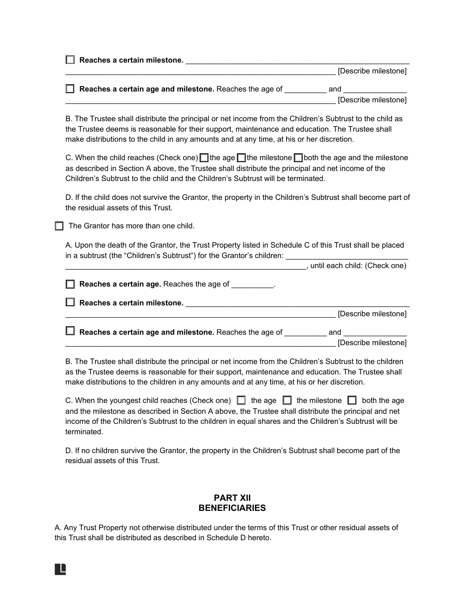□ **Reaches a certain milestone.** <u>\_\_\_\_\_\_\_\_\_\_\_\_\_\_\_\_\_\_\_\_\_\_\_\_\_\_\_\_\_\_\_\_</u> \_\_\_\_\_\_\_\_\_\_\_\_\_\_\_\_\_\_\_\_\_\_\_\_\_\_\_\_\_\_\_\_\_\_\_\_\_\_\_\_\_\_\_\_\_\_\_\_\_\_\_\_\_\_\_\_\_\_\_\_\_\_\_\_ [Describe milestone]

□ **Reaches a certain age and milestone.** Reaches the age of \_\_\_\_\_\_\_\_\_ and \_\_\_\_\_\_ [Describe milestone]

B. The Trustee shall distribute the principal or net income from the Children's Subtrust to the child as the Trustee deems is reasonable for their support, maintenance and education. The Trustee shall make distributions to the child in any amounts and at any time, at his or her discretion.

C. When the child reaches (Check one) **□** the age □ the milestone □ both the age and the milestone as described in Section A above, the Trustee shall distribute the principal and net income of the Children's Subtrust to the child and the Children's Subtrust will be terminated.

D. If the child does not survive the Grantor, the property in the Children's Subtrust shall become part of the residual assets of this Trust.

 $\Box$  The Grantor has more than one child.

A. Upon the death of the Grantor, the Trust Property listed in Schedule C of this Trust shall be placed in a subtrust (the "Children's Subtrust") for the Grantor's children: \_\_\_\_\_

\_\_\_\_\_\_\_\_\_\_\_\_\_\_\_\_\_\_\_\_\_\_\_\_\_\_\_\_\_\_\_\_\_\_\_\_\_\_\_\_\_\_\_\_\_\_\_\_\_\_\_\_\_\_\_\_\_, until each child: (Check one)

□ **Reaches a certain age.** Reaches the age of **weighted Reaches** a ☐ **Reaches a certain milestone.** \_\_\_\_\_\_\_\_\_\_\_\_\_\_\_\_\_\_\_\_\_\_\_\_\_\_\_\_\_\_\_\_\_\_\_\_\_\_\_\_\_\_\_\_\_\_\_\_\_\_\_\_\_ \_\_\_\_\_\_\_\_\_\_\_\_\_\_\_\_\_\_\_\_\_\_\_\_\_\_\_\_\_\_\_\_\_\_\_\_\_\_\_\_\_\_\_\_\_\_\_\_\_\_\_\_\_\_\_\_\_\_\_\_\_\_\_\_ [Describe milestone] □ **Reaches a certain age and milestone.** Reaches the age of \_\_\_\_\_\_\_\_\_\_ and \_\_\_\_\_\_\_\_\_ \_\_\_\_\_\_\_\_\_\_\_\_\_\_\_\_\_\_\_\_\_\_\_\_\_\_\_\_\_\_\_\_\_\_\_\_\_\_\_\_\_\_\_\_\_\_\_\_\_\_\_\_\_\_\_\_\_\_\_\_\_\_\_\_ [Describe milestone]

B. The Trustee shall distribute the principal or net income from the Children's Subtrust to the children as the Trustee deems is reasonable for their support, maintenance and education. The Trustee shall make distributions to the children in any amounts and at any time, at his or her discretion.

| C. When the youngest child reaches (Check one) $\Box$ the age $\Box$ the milestone $\Box$ both the age |
|--------------------------------------------------------------------------------------------------------|
| and the milestone as described in Section A above, the Trustee shall distribute the principal and net  |
| income of the Children's Subtrust to the children in equal shares and the Children's Subtrust will be  |
| terminated.                                                                                            |

D. If no children survive the Grantor, the property in the Children's Subtrust shall become part of the residual assets of this Trust.

#### **PART XII BENEFICIARIES**

A. Any Trust Property not otherwise distributed under the terms of this Trust or other residual assets of this Trust shall be distributed as described in Schedule D hereto.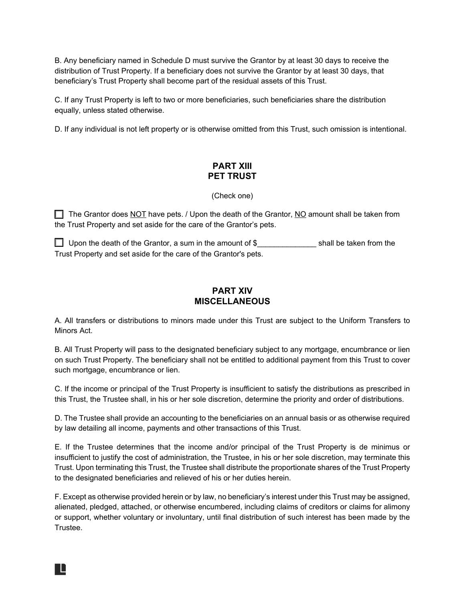B. Any beneficiary named in Schedule D must survive the Grantor by at least 30 days to receive the distribution of Trust Property. If a beneficiary does not survive the Grantor by at least 30 days, that beneficiary's Trust Property shall become part of the residual assets of this Trust.

C. If any Trust Property is left to two or more beneficiaries, such beneficiaries share the distribution equally, unless stated otherwise.

D. If any individual is not left property or is otherwise omitted from this Trust, such omission is intentional.

#### **PART XIII PET TRUST**

(Check one)

☐ The Grantor does NOT have pets. / Upon the death of the Grantor, NO amount shall be taken from the Trust Property and set aside for the care of the Grantor's pets.

 $\Box$  Upon the death of the Grantor, a sum in the amount of \$ shall be taken from the Trust Property and set aside for the care of the Grantor's pets.

#### **PART XIV MISCELLANEOUS**

A. All transfers or distributions to minors made under this Trust are subject to the Uniform Transfers to Minors Act.

B. All Trust Property will pass to the designated beneficiary subject to any mortgage, encumbrance or lien on such Trust Property. The beneficiary shall not be entitled to additional payment from this Trust to cover such mortgage, encumbrance or lien.

C. If the income or principal of the Trust Property is insufficient to satisfy the distributions as prescribed in this Trust, the Trustee shall, in his or her sole discretion, determine the priority and order of distributions.

D. The Trustee shall provide an accounting to the beneficiaries on an annual basis or as otherwise required by law detailing all income, payments and other transactions of this Trust.

E. If the Trustee determines that the income and/or principal of the Trust Property is de minimus or insufficient to justify the cost of administration, the Trustee, in his or her sole discretion, may terminate this Trust. Upon terminating this Trust, the Trustee shall distribute the proportionate shares of the Trust Property to the designated beneficiaries and relieved of his or her duties herein.

F. Except as otherwise provided herein or by law, no beneficiary's interest under this Trust may be assigned, alienated, pledged, attached, or otherwise encumbered, including claims of creditors or claims for alimony or support, whether voluntary or involuntary, until final distribution of such interest has been made by the Trustee.

R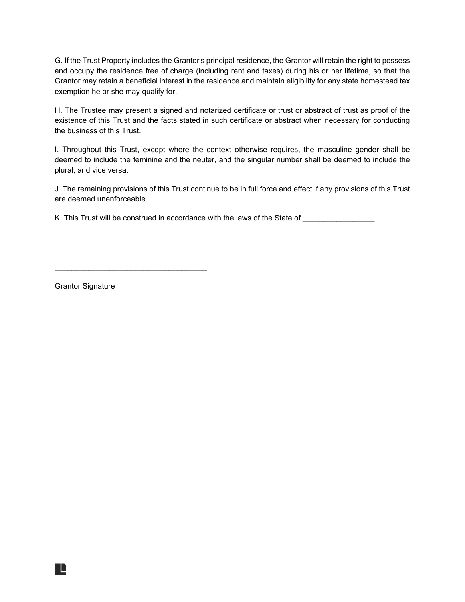G. If the Trust Property includes the Grantor's principal residence, the Grantor will retain the right to possess and occupy the residence free of charge (including rent and taxes) during his or her lifetime, so that the Grantor may retain a beneficial interest in the residence and maintain eligibility for any state homestead tax exemption he or she may qualify for.

H. The Trustee may present a signed and notarized certificate or trust or abstract of trust as proof of the existence of this Trust and the facts stated in such certificate or abstract when necessary for conducting the business of this Trust.

I. Throughout this Trust, except where the context otherwise requires, the masculine gender shall be deemed to include the feminine and the neuter, and the singular number shall be deemed to include the plural, and vice versa.

J. The remaining provisions of this Trust continue to be in full force and effect if any provisions of this Trust are deemed unenforceable.

K. This Trust will be construed in accordance with the laws of the State of **with the laws** of the State of **with the laws** 

Grantor Signature

H

\_\_\_\_\_\_\_\_\_\_\_\_\_\_\_\_\_\_\_\_\_\_\_\_\_\_\_\_\_\_\_\_\_\_\_\_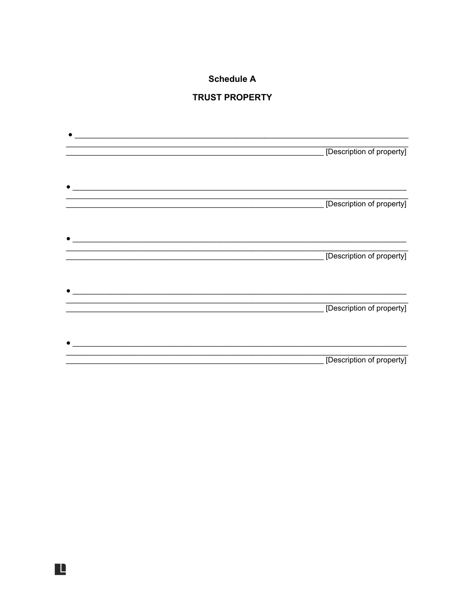## **Schedule A**

## **TRUST PROPERTY**

|                                                                                           | [Description of property] |
|-------------------------------------------------------------------------------------------|---------------------------|
|                                                                                           |                           |
|                                                                                           | [Description of property] |
| the control of the control of the control of the control of the control of the control of | [Description of property] |
| <u> 1980 - Jan James James Santan (j. 1980)</u>                                           | [Description of property] |
|                                                                                           |                           |
|                                                                                           | [Description of property] |

Ŀ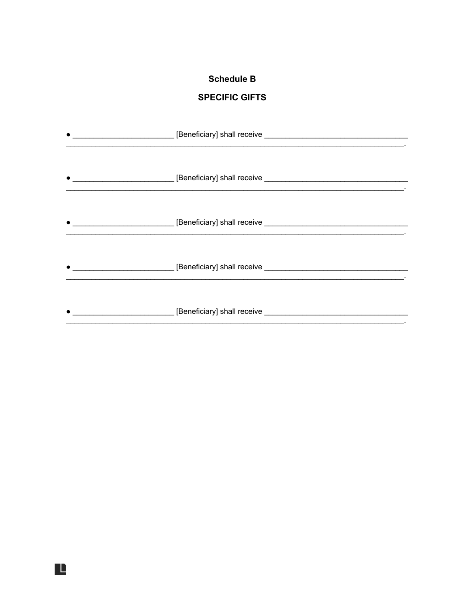## **Schedule B**

## **SPECIFIC GIFTS**

| the control of the control of the control of the control of the control of the control of |  |
|-------------------------------------------------------------------------------------------|--|
|                                                                                           |  |
|                                                                                           |  |
| $\bullet$                                                                                 |  |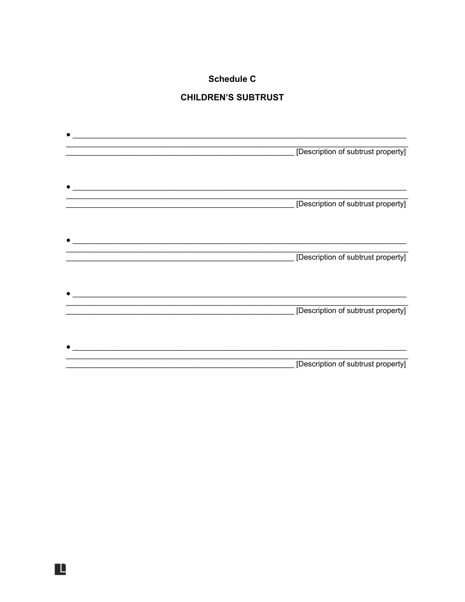## **Schedule C**

## **CHILDREN'S SUBTRUST**

| <u> 1980 - Jan James James James James James James James James James James James James James James James James J</u> |                                    |
|----------------------------------------------------------------------------------------------------------------------|------------------------------------|
|                                                                                                                      | [Description of subtrust property] |
|                                                                                                                      | [Description of subtrust property] |
|                                                                                                                      | [Description of subtrust property] |
|                                                                                                                      | [Description of subtrust property] |
|                                                                                                                      |                                    |
|                                                                                                                      | [Description of subtrust property] |

L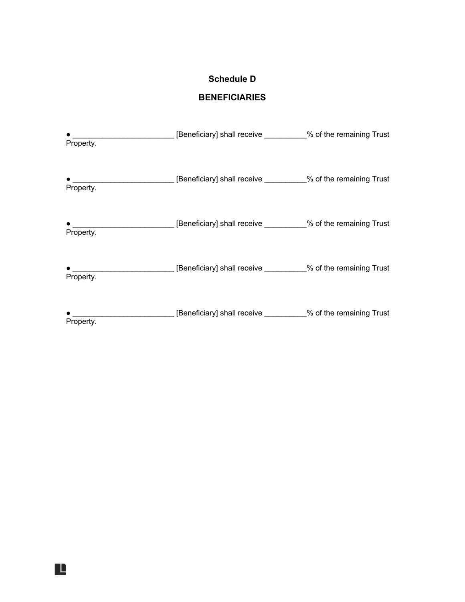## **Schedule D**

## **BENEFICIARIES**

| Property. | ___ [Beneficiary] shall receive _________% of the remaining Trust                         |  |
|-----------|-------------------------------------------------------------------------------------------|--|
| Property. | __________________________[Beneficiary] shall receive ___________% of the remaining Trust |  |
| Property. | ________________________[Beneficiary] shall receive __________% of the remaining Trust    |  |
| Property. | _________________________[Beneficiary] shall receive __________% of the remaining Trust   |  |
| Property. | ___ [Beneficiary] shall receive _________% of the remaining Trust                         |  |

Ŀ